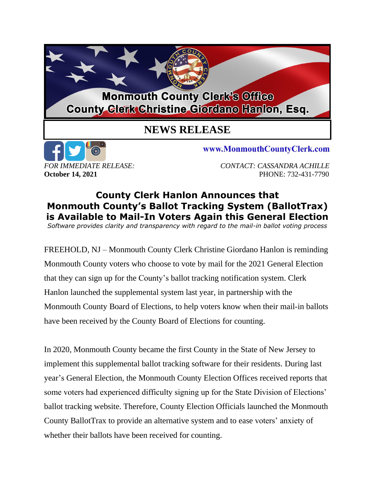## **Monmouth County Clerk's Office County Clerk Christine Giordano Hanlon, Esq.**

## **NEWS RELEASE**



www.MonmouthCountyClerk.com

*FOR IMMEDIATE RELEASE: CONTACT: CASSANDRA ACHILLE* **October 14, 2021 PHONE: 732-431-7790** 

## **County Clerk Hanlon Announces that Monmouth County's Ballot Tracking System (BallotTrax) is Available to Mail-In Voters Again this General Election**

*Software provides clarity and transparency with regard to the mail-in ballot voting process*

FREEHOLD, NJ – Monmouth County Clerk Christine Giordano Hanlon is reminding Monmouth County voters who choose to vote by mail for the 2021 General Election that they can sign up for the County's ballot tracking notification system. Clerk Hanlon launched the supplemental system last year, in partnership with the Monmouth County Board of Elections, to help voters know when their mail-in ballots have been received by the County Board of Elections for counting.

In 2020, Monmouth County became the first County in the State of New Jersey to implement this supplemental ballot tracking software for their residents. During last year's General Election, the Monmouth County Election Offices received reports that some voters had experienced difficulty signing up for the State Division of Elections' ballot tracking website. Therefore, County Election Officials launched the Monmouth County BallotTrax to provide an alternative system and to ease voters' anxiety of whether their ballots have been received for counting.